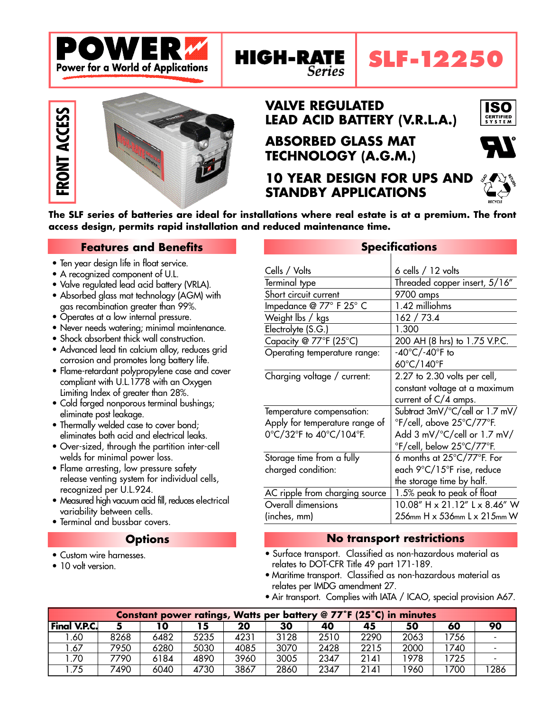

# **VALVE REGULATED LEAD ACID BATTERY (V.R.L.A.)**

**ABSORBED GLASS MAT TECHNOLOGY (A.G.M.)**

Series

**10 YEAR DESIGN FOR UPS AND STANDBY APPLICATIONS**



**The SLF series of batteries are ideal for installations where real estate is at a premium. The front access design, permits rapid installation and reduced maintenance time.**

**HIGH-RATE** 

## **Features and Benefits**

- Ten year design life in float service.
- A recognized component of U.L.

**FRONT ACCESS** 

- Valve regulated lead acid battery (VRLA).
- Absorbed glass mat technology (AGM) with gas recombination greater than 99%.
- Operates at a low internal pressure.
- Never needs watering; minimal maintenance.
- Shock absorbent thick wall construction.
- Advanced lead tin calcium alloy, reduces grid corrosion and promotes long battery life.
- Flame-retardant polypropylene case and cover compliant with U.L.1778 with an Oxygen Limiting Index of greater than 28%.
- Cold forged nonporous terminal bushings; eliminate post leakage.
- Thermally welded case to cover bond; eliminates both acid and electrical leaks.
- Over-sized, through the partition inter-cell welds for minimal power loss.
- Flame arresting, low pressure safety release venting system for individual cells, recognized per U.L.924.
- Measured high vacuum acid fill, reduces electrical variability between cells.
- Terminal and bussbar covers.

### **Options**

- Custom wire harnesses.
- 10 volt version

|                                | <u>ahammanan a</u>                             |
|--------------------------------|------------------------------------------------|
| Cells / Volts                  | $6$ cells $/12$ volts                          |
| Terminal type                  | Threaded copper insert, 5/16"                  |
| Short circuit current          | 9700 amps                                      |
| Impedance @ 77° F 25° C        | 1.42 milliohms                                 |
| Weight lbs / kgs               | 162 / 73.4                                     |
| Electrolyte (S.G.)             | 1.300                                          |
| Capacity @ 77°F (25°C)         | 200 AH (8 hrs) to 1.75 V.P.C.                  |
| Operating temperature range:   | $-40^{\circ}$ C/ $-40^{\circ}$ F to            |
|                                | 60°C/140°F                                     |
| Charging voltage / current:    | 2.27 to 2.30 volts per cell,                   |
|                                | constant voltage at a maximum                  |
|                                | current of $C/4$ amps.                         |
| Temperature compensation:      | Subtract 3mV/°C/cell or 1.7 mV/                |
| Apply for temperature range of | °F/cell, above 25°C/77°F.                      |
| 0°C/32°F to 40°C/104°F.        | Add $3 \text{ mV}$ $\degree$ C/cell or 1.7 mV/ |
|                                | °F/cell, below 25°C/77°F.                      |
| Storage time from a fully      | 6 months at 25°C/77°F. For                     |
| charged condition:             | each 9°C/15°F rise, reduce                     |
|                                | the storage time by half.                      |
| AC ripple from charging source | 1.5% peak to peak of float                     |
| Overall dimensions             | 10.08" H x 21.12" L x 8.46" W                  |
| (inches, mm)                   | 256mm H x 536mm L x 215mm W                    |

**Specifications**

### **No transport restrictions**

- Surface transport. Classified as non-hazardous material as relates to DOT-CFR Title 49 part 171-189.
- Maritime transport. Classified as non-hazardous material as relates per IMDG amendment 27.
- Air transport. Complies with IATA / ICAO, special provision A67.

| Constant power ratings, Watts per battery @ 77°F (25°C) in minutes |      |      |      |      |      |      |      |      |      |      |
|--------------------------------------------------------------------|------|------|------|------|------|------|------|------|------|------|
| <b>Final V.P.C.</b>                                                |      | 10   | 15   | 20   | 30   | 40   | 45   | 50   | 60   | 90   |
| .60                                                                | 8268 | 6482 | 5235 | 4231 | 3128 | 2510 | 2290 | 2063 | 1756 |      |
| .67                                                                | 7950 | 6280 | 5030 | 4085 | 3070 | 2428 | 2215 | 2000 | 1740 |      |
| .70                                                                | 7790 | 6184 | 4890 | 3960 | 3005 | 2347 | 2141 | 1978 | 1725 |      |
| .75                                                                | 7490 | 6040 | 4730 | 3867 | 2860 | 2347 | 2141 | 1960 | 1700 | 1286 |



**SLF-12250**